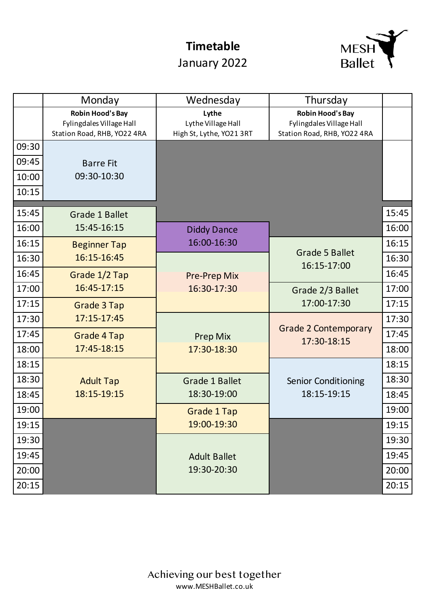## **Timetable**

## January 2022



|       | Monday                                                                             | Wednesday                                               | Thursday                                                                           |       |
|-------|------------------------------------------------------------------------------------|---------------------------------------------------------|------------------------------------------------------------------------------------|-------|
|       | <b>Robin Hood's Bay</b><br>Fylingdales Village Hall<br>Station Road, RHB, YO22 4RA | Lythe<br>Lythe Village Hall<br>High St, Lythe, YO21 3RT | <b>Robin Hood's Bay</b><br>Fylingdales Village Hall<br>Station Road, RHB, YO22 4RA |       |
| 09:30 |                                                                                    |                                                         |                                                                                    |       |
| 09:45 | <b>Barre Fit</b>                                                                   |                                                         |                                                                                    |       |
| 10:00 | 09:30-10:30                                                                        |                                                         |                                                                                    |       |
| 10:15 |                                                                                    |                                                         |                                                                                    |       |
| 15:45 | <b>Grade 1 Ballet</b>                                                              |                                                         |                                                                                    | 15:45 |
| 16:00 | 15:45-16:15                                                                        | <b>Diddy Dance</b>                                      |                                                                                    | 16:00 |
| 16:15 | <b>Beginner Tap</b>                                                                | 16:00-16:30                                             |                                                                                    | 16:15 |
| 16:30 | 16:15-16:45                                                                        |                                                         | <b>Grade 5 Ballet</b>                                                              | 16:30 |
| 16:45 | Grade 1/2 Tap                                                                      | <b>Pre-Prep Mix</b>                                     | 16:15-17:00                                                                        | 16:45 |
| 17:00 | 16:45-17:15                                                                        | 16:30-17:30                                             | Grade 2/3 Ballet                                                                   | 17:00 |
| 17:15 | Grade 3 Tap                                                                        |                                                         | 17:00-17:30                                                                        | 17:15 |
| 17:30 | 17:15-17:45                                                                        |                                                         |                                                                                    | 17:30 |
| 17:45 | Grade 4 Tap                                                                        | <b>Prep Mix</b>                                         | <b>Grade 2 Contemporary</b>                                                        | 17:45 |
| 18:00 | 17:45-18:15                                                                        | 17:30-18:30                                             | 17:30-18:15                                                                        | 18:00 |
| 18:15 |                                                                                    |                                                         |                                                                                    | 18:15 |
| 18:30 | <b>Adult Tap</b>                                                                   | <b>Grade 1 Ballet</b>                                   | <b>Senior Conditioning</b>                                                         | 18:30 |
| 18:45 | 18:15-19:15                                                                        | 18:30-19:00                                             | 18:15-19:15                                                                        | 18:45 |
| 19:00 |                                                                                    | <b>Grade 1 Tap</b>                                      |                                                                                    | 19:00 |
| 19:15 |                                                                                    | 19:00-19:30                                             |                                                                                    | 19:15 |
| 19:30 |                                                                                    |                                                         |                                                                                    | 19:30 |
| 19:45 |                                                                                    | <b>Adult Ballet</b>                                     |                                                                                    | 19:45 |
| 20:00 |                                                                                    | 19:30-20:30                                             |                                                                                    | 20:00 |
| 20:15 |                                                                                    |                                                         |                                                                                    | 20:15 |